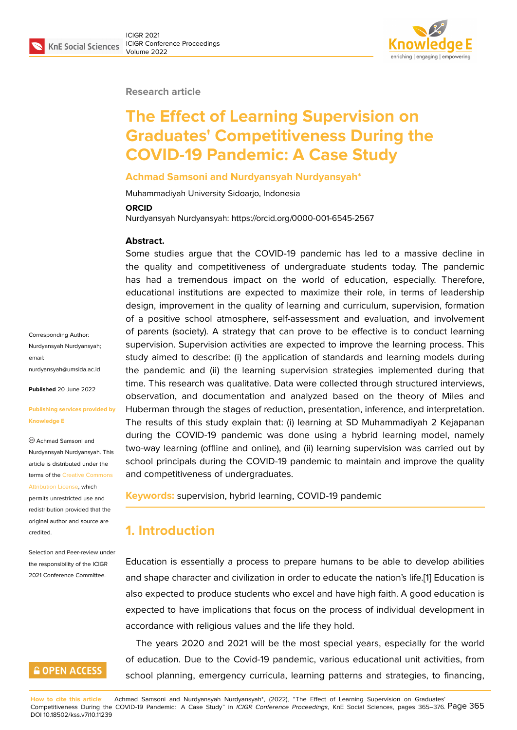#### **Research article**

# **The Effect of Learning Supervision on Graduates' Competitiveness During the COVID-19 Pandemic: A Case Study**

#### **Achmad Samsoni and Nurdyansyah Nurdyansyah\***

Muhammadiyah University Sidoarjo, Indonesia

#### **ORCID**

Nurdyansyah Nurdyansyah: https://orcid.org/0000-001-6545-2567

#### **Abstract.**

Some studies argue that the COVID-19 pandemic has led to a massive decline in the quality and competitiveness of undergraduate students today. The pandemic has had a tremendous impact on the world of education, especially. Therefore, educational institutions are expected to maximize their role, in terms of leadership design, improvement in the quality of learning and curriculum, supervision, formation of a positive school atmosphere, self-assessment and evaluation, and involvement of parents (society). A strategy that can prove to be effective is to conduct learning supervision. Supervision activities are expected to improve the learning process. This study aimed to describe: (i) the application of standards and learning models during the pandemic and (ii) the learning supervision strategies implemented during that time. This research was qualitative. Data were collected through structured interviews, observation, and documentation and analyzed based on the theory of Miles and Huberman through the stages of reduction, presentation, inference, and interpretation. The results of this study explain that: (i) learning at SD Muhammadiyah 2 Kejapanan during the COVID-19 pandemic was done using a hybrid learning model, namely two-way learning (offline and online), and (ii) learning supervision was carried out by school principals during the COVID-19 pandemic to maintain and improve the quality and competitiveness of undergraduates.

**Keywords:** supervision, hybrid learning, COVID-19 pandemic

# **1. Introduction**

Education is essentially a process to prepare humans to be able to develop abilities and shape character and civilization in order to educate the nation's life.[1] Education is also expected to produce students who excel and have high faith. A good education is expected to have implications that focus on the process of individual development in accordance with religious values and the life they hold.

The years 2020 and 2021 will be the most special years, especially for the world of education. Due to the Covid-19 pandemic, various educational unit activities, from school planning, emergency curricula, learning patterns and strategies, to financing,

**How to cite this article**: Achmad Samsoni and Nurdyansyah Nurdyansyah\*, (2022), "The Effect of Learning Supervision on Graduates' Competitiveness During the COVID-19 Pandemic: A Case Study" in *ICIGR Conference Proceedings*, KnE Social Sciences, pages 365–376. Page 365 DOI 10.18502/kss.v7i10.11239

Corresponding Author: Nurdyansyah Nurdyansyah; email: nurdyansyah@umsida.ac.id

**Published** 20 June 2022

#### **[Publishing services provide](mailto:nurdyansyah@umsida.ac.id)d by Knowledge E**

Achmad Samsoni and Nurdyansyah Nurdyansyah. This article is distributed under the terms of the Creative Commons Attribution License, which permits unrestricted use and

redistribution provided that the original auth[or and source are](https://creativecommons.org/licenses/by/4.0/) [credited.](https://creativecommons.org/licenses/by/4.0/)

Selection and Peer-review under the responsibility of the ICIGR 2021 Conference Committee.

# **GOPEN ACCESS**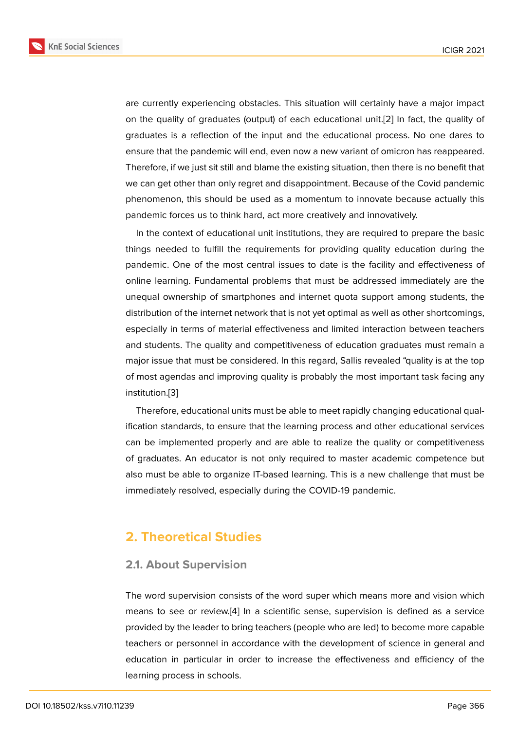are currently experiencing obstacles. This situation will certainly have a major impact on the quality of graduates (output) of each educational unit.[2] In fact, the quality of graduates is a reflection of the input and the educational process. No one dares to ensure that the pandemic will end, even now a new variant of omicron has reappeared. Therefore, if we just sit still and blame the existing situation, the[n](#page-10-0) there is no benefit that we can get other than only regret and disappointment. Because of the Covid pandemic phenomenon, this should be used as a momentum to innovate because actually this pandemic forces us to think hard, act more creatively and innovatively.

In the context of educational unit institutions, they are required to prepare the basic things needed to fulfill the requirements for providing quality education during the pandemic. One of the most central issues to date is the facility and effectiveness of online learning. Fundamental problems that must be addressed immediately are the unequal ownership of smartphones and internet quota support among students, the distribution of the internet network that is not yet optimal as well as other shortcomings, especially in terms of material effectiveness and limited interaction between teachers and students. The quality and competitiveness of education graduates must remain a major issue that must be considered. In this regard, Sallis revealed "quality is at the top of most agendas and improving quality is probably the most important task facing any institution.[3]

Therefore, educational units must be able to meet rapidly changing educational qualification standards, to ensure that the learning process and other educational services can be im[pl](#page-10-1)emented properly and are able to realize the quality or competitiveness of graduates. An educator is not only required to master academic competence but also must be able to organize IT-based learning. This is a new challenge that must be immediately resolved, especially during the COVID-19 pandemic.

# **2. Theoretical Studies**

## **2.1. About Supervision**

The word supervision consists of the word super which means more and vision which means to see or review.[4] In a scientific sense, supervision is defined as a service provided by the leader to bring teachers (people who are led) to become more capable teachers or personnel in accordance with the development of science in general and education in particular i[n](#page-10-2) order to increase the effectiveness and efficiency of the learning process in schools.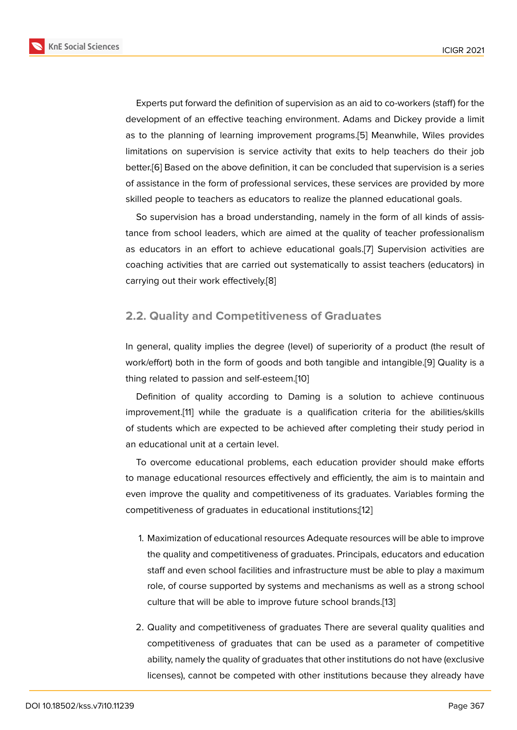Experts put forward the definition of supervision as an aid to co-workers (staff) for the development of an effective teaching environment. Adams and Dickey provide a limit as to the planning of learning improvement programs.[5] Meanwhile, Wiles provides limitations on supervision is service activity that exits to help teachers do their job better.[6] Based on the above definition, it can be concluded that supervision is a series of assistance in the form of professional services, these [se](#page-10-3)rvices are provided by more skilled people to teachers as educators to realize the planned educational goals.

So [su](#page-10-4)pervision has a broad understanding, namely in the form of all kinds of assistance from school leaders, which are aimed at the quality of teacher professionalism as educators in an effort to achieve educational goals.[7] Supervision activities are coaching activities that are carried out systematically to assist teachers (educators) in carrying out their work effectively.[8]

## **2.2. Quality and Competit[iv](#page-10-5)eness of Graduates**

In general, quality implies the degree (level) of superiority of a product (the result of work/effort) both in the form of goods and both tangible and intangible.[9] Quality is a thing related to passion and self-esteem.[10]

Definition of quality according to Daming is a solution to achieve continuous improvement.[11] while the graduate is a qualification criteria for the [a](#page-10-6)bilities/skills of students which are expected to be ac[hie](#page-10-7)ved after completing their study period in an educational unit at a certain level.

To overco[me](#page-10-8) educational problems, each education provider should make efforts to manage educational resources effectively and efficiently, the aim is to maintain and even improve the quality and competitiveness of its graduates. Variables forming the competitiveness of graduates in educational institutions;[12]

- 1. Maximization of educational resources Adequate resources will be able to improve the quality and competitiveness of graduates. Princi[pal](#page-10-9)s, educators and education staff and even school facilities and infrastructure must be able to play a maximum role, of course supported by systems and mechanisms as well as a strong school culture that will be able to improve future school brands.[13]
- 2. Quality and competitiveness of graduates There are several quality qualities and competitiveness of graduates that can be used as a p[ara](#page-10-10)meter of competitive ability, namely the quality of graduates that other institutions do not have (exclusive licenses), cannot be competed with other institutions because they already have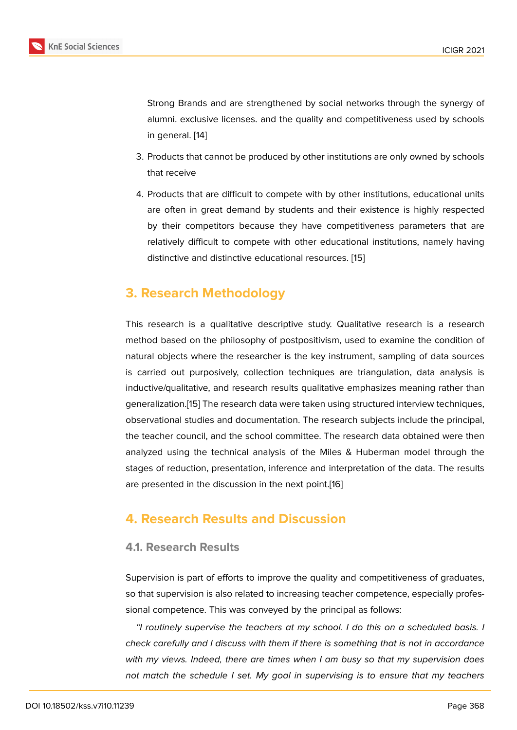Strong Brands and are strengthened by social networks through the synergy of alumni. exclusive licenses. and the quality and competitiveness used by schools in general. [14]

- 3. Products that cannot be produced by other institutions are only owned by schools that receive
- 4. Products that are difficult to compete with by other institutions, educational units are often in great demand by students and their existence is highly respected by their competitors because they have competitiveness parameters that are relatively difficult to compete with other educational institutions, namely having distinctive and distinctive educational resources. [15]

# **3. Research Methodology**

This research is a qualitative descriptive study. Qualitative research is a research method based on the philosophy of postpositivism, used to examine the condition of natural objects where the researcher is the key instrument, sampling of data sources is carried out purposively, collection techniques are triangulation, data analysis is inductive/qualitative, and research results qualitative emphasizes meaning rather than generalization.[15] The research data were taken using structured interview techniques, observational studies and documentation. The research subjects include the principal, the teacher council, and the school committee. The research data obtained were then analyzed usin[g th](#page-11-0)e technical analysis of the Miles & Huberman model through the stages of reduction, presentation, inference and interpretation of the data. The results are presented in the discussion in the next point.[16]

# **4. Research Results and Discussi[on](#page-11-1)**

## **4.1. Research Results**

Supervision is part of efforts to improve the quality and competitiveness of graduates, so that supervision is also related to increasing teacher competence, especially professional competence. This was conveyed by the principal as follows:

*"I routinely supervise the teachers at my school. I do this on a scheduled basis. I check carefully and I discuss with them if there is something that is not in accordance with my views. Indeed, there are times when I am busy so that my supervision does not match the schedule I set. My goal in supervising is to ensure that my teachers*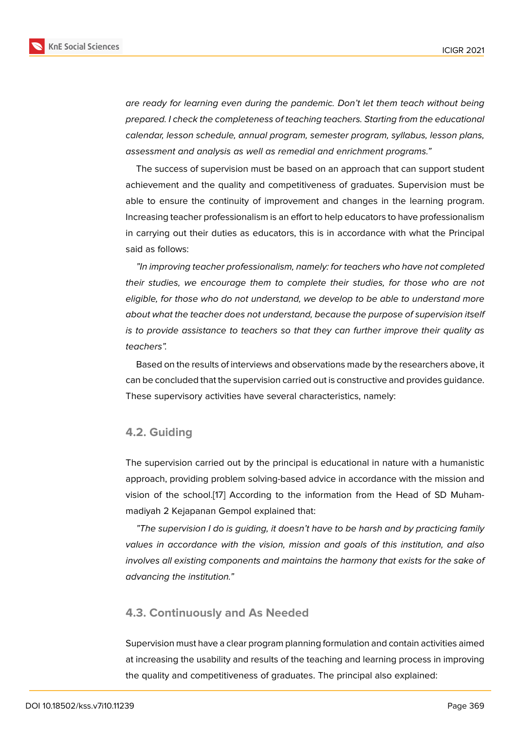*are ready for learning even during the pandemic. Don't let them teach without being prepared. I check the completeness of teaching teachers. Starting from the educational calendar, lesson schedule, annual program, semester program, syllabus, lesson plans, assessment and analysis as well as remedial and enrichment programs."*

The success of supervision must be based on an approach that can support student achievement and the quality and competitiveness of graduates. Supervision must be able to ensure the continuity of improvement and changes in the learning program. Increasing teacher professionalism is an effort to help educators to have professionalism in carrying out their duties as educators, this is in accordance with what the Principal said as follows:

*"In improving teacher professionalism, namely: for teachers who have not completed their studies, we encourage them to complete their studies, for those who are not eligible, for those who do not understand, we develop to be able to understand more about what the teacher does not understand, because the purpose of supervision itself is to provide assistance to teachers so that they can further improve their quality as teachers".*

Based on the results of interviews and observations made by the researchers above, it can be concluded that the supervision carried out is constructive and provides guidance. These supervisory activities have several characteristics, namely:

## **4.2. Guiding**

The supervision carried out by the principal is educational in nature with a humanistic approach, providing problem solving-based advice in accordance with the mission and vision of the school.[17] According to the information from the Head of SD Muhammadiyah 2 Kejapanan Gempol explained that:

*"The supervision I do is guiding, it doesn't have to be harsh and by practicing family values in accordanc[e w](#page-11-2)ith the vision, mission and goals of this institution, and also involves all existing components and maintains the harmony that exists for the sake of advancing the institution."*

## **4.3. Continuously and As Needed**

Supervision must have a clear program planning formulation and contain activities aimed at increasing the usability and results of the teaching and learning process in improving the quality and competitiveness of graduates. The principal also explained: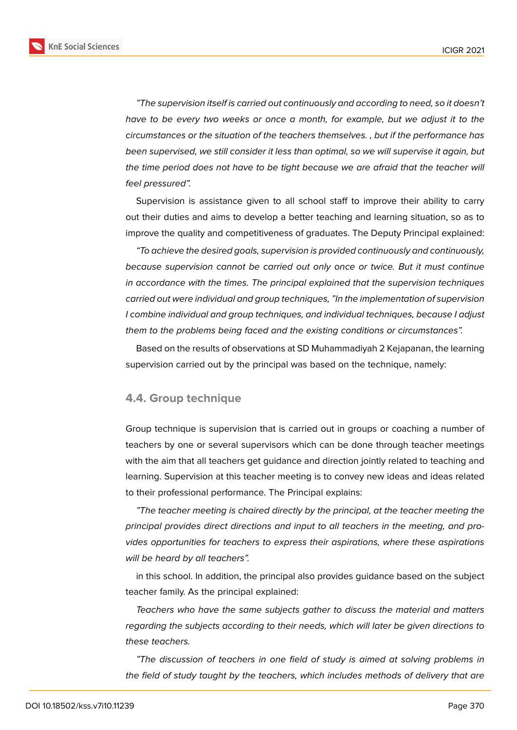**KnE Social Sciences** 



*"The supervision itself is carried out continuously and according to need, so it doesn't have to be every two weeks or once a month, for example, but we adjust it to the circumstances or the situation of the teachers themselves. , but if the performance has been supervised, we still consider it less than optimal, so we will supervise it again, but the time period does not have to be tight because we are afraid that the teacher will feel pressured".*

Supervision is assistance given to all school staff to improve their ability to carry out their duties and aims to develop a better teaching and learning situation, so as to improve the quality and competitiveness of graduates. The Deputy Principal explained:

*"To achieve the desired goals, supervision is provided continuously and continuously, because supervision cannot be carried out only once or twice. But it must continue in accordance with the times. The principal explained that the supervision techniques carried out were individual and group techniques, "In the implementation of supervision I combine individual and group techniques, and individual techniques, because I adjust them to the problems being faced and the existing conditions or circumstances".*

Based on the results of observations at SD Muhammadiyah 2 Kejapanan, the learning supervision carried out by the principal was based on the technique, namely:

## **4.4. Group technique**

Group technique is supervision that is carried out in groups or coaching a number of teachers by one or several supervisors which can be done through teacher meetings with the aim that all teachers get guidance and direction jointly related to teaching and learning. Supervision at this teacher meeting is to convey new ideas and ideas related to their professional performance. The Principal explains:

*"The teacher meeting is chaired directly by the principal, at the teacher meeting the principal provides direct directions and input to all teachers in the meeting, and provides opportunities for teachers to express their aspirations, where these aspirations will be heard by all teachers".*

in this school. In addition, the principal also provides guidance based on the subject teacher family. As the principal explained:

*Teachers who have the same subjects gather to discuss the material and matters regarding the subjects according to their needs, which will later be given directions to these teachers.*

*"The discussion of teachers in one field of study is aimed at solving problems in the field of study taught by the teachers, which includes methods of delivery that are*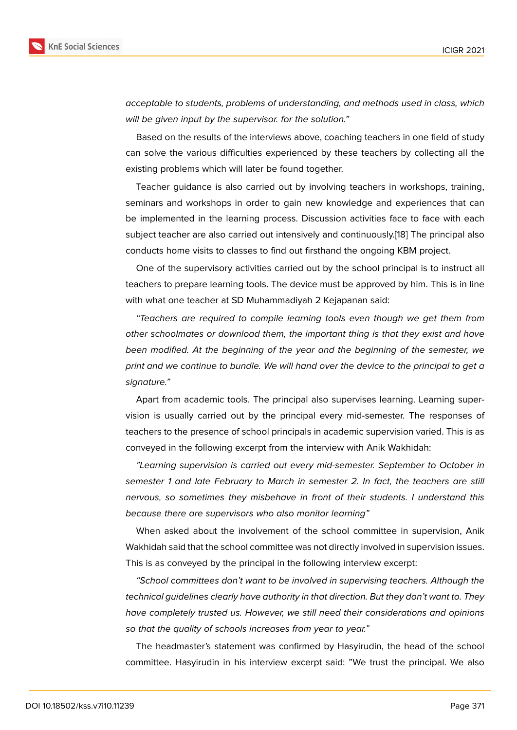*acceptable to students, problems of understanding, and methods used in class, which will be given input by the supervisor. for the solution."*

Based on the results of the interviews above, coaching teachers in one field of study can solve the various difficulties experienced by these teachers by collecting all the existing problems which will later be found together.

Teacher guidance is also carried out by involving teachers in workshops, training, seminars and workshops in order to gain new knowledge and experiences that can be implemented in the learning process. Discussion activities face to face with each subject teacher are also carried out intensively and continuously.[18] The principal also conducts home visits to classes to find out firsthand the ongoing KBM project.

One of the supervisory activities carried out by the school principal is to instruct all teachers to prepare learning tools. The device must be approved [by](#page-11-3) him. This is in line with what one teacher at SD Muhammadiyah 2 Kejapanan said:

*"Teachers are required to compile learning tools even though we get them from other schoolmates or download them, the important thing is that they exist and have been modified. At the beginning of the year and the beginning of the semester, we print and we continue to bundle. We will hand over the device to the principal to get a signature."*

Apart from academic tools. The principal also supervises learning. Learning supervision is usually carried out by the principal every mid-semester. The responses of teachers to the presence of school principals in academic supervision varied. This is as conveyed in the following excerpt from the interview with Anik Wakhidah:

*"Learning supervision is carried out every mid-semester. September to October in semester 1 and late February to March in semester 2. In fact, the teachers are still nervous, so sometimes they misbehave in front of their students. I understand this because there are supervisors who also monitor learning"*

When asked about the involvement of the school committee in supervision, Anik Wakhidah said that the school committee was not directly involved in supervision issues. This is as conveyed by the principal in the following interview excerpt:

*"School committees don't want to be involved in supervising teachers. Although the technical guidelines clearly have authority in that direction. But they don't want to. They have completely trusted us. However, we still need their considerations and opinions so that the quality of schools increases from year to year."*

The headmaster's statement was confirmed by Hasyirudin, the head of the school committee. Hasyirudin in his interview excerpt said: "We trust the principal. We also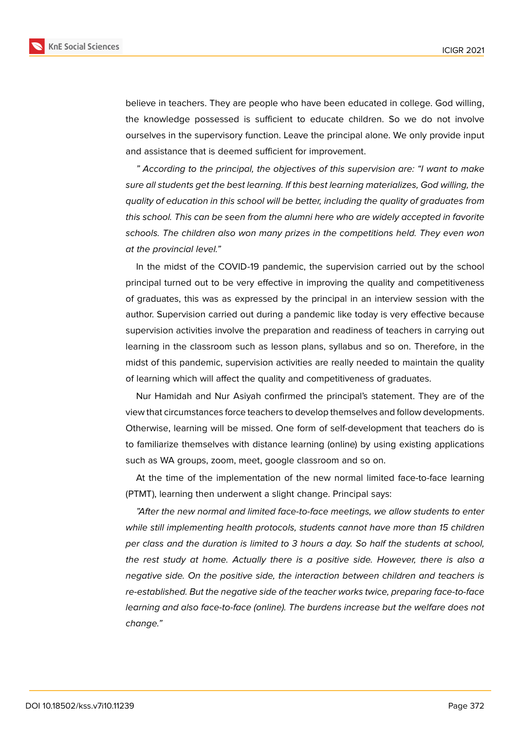

believe in teachers. They are people who have been educated in college. God willing, the knowledge possessed is sufficient to educate children. So we do not involve ourselves in the supervisory function. Leave the principal alone. We only provide input and assistance that is deemed sufficient for improvement.

*" According to the principal, the objectives of this supervision are: "I want to make sure all students get the best learning. If this best learning materializes, God willing, the quality of education in this school will be better, including the quality of graduates from this school. This can be seen from the alumni here who are widely accepted in favorite schools. The children also won many prizes in the competitions held. They even won at the provincial level."*

In the midst of the COVID-19 pandemic, the supervision carried out by the school principal turned out to be very effective in improving the quality and competitiveness of graduates, this was as expressed by the principal in an interview session with the author. Supervision carried out during a pandemic like today is very effective because supervision activities involve the preparation and readiness of teachers in carrying out learning in the classroom such as lesson plans, syllabus and so on. Therefore, in the midst of this pandemic, supervision activities are really needed to maintain the quality of learning which will affect the quality and competitiveness of graduates.

Nur Hamidah and Nur Asiyah confirmed the principal's statement. They are of the view that circumstances force teachers to develop themselves and follow developments. Otherwise, learning will be missed. One form of self-development that teachers do is to familiarize themselves with distance learning (online) by using existing applications such as WA groups, zoom, meet, google classroom and so on.

At the time of the implementation of the new normal limited face-to-face learning (PTMT), learning then underwent a slight change. Principal says:

*"After the new normal and limited face-to-face meetings, we allow students to enter while still implementing health protocols, students cannot have more than 15 children per class and the duration is limited to 3 hours a day. So half the students at school, the rest study at home. Actually there is a positive side. However, there is also a negative side. On the positive side, the interaction between children and teachers is re-established. But the negative side of the teacher works twice, preparing face-to-face learning and also face-to-face (online). The burdens increase but the welfare does not change."*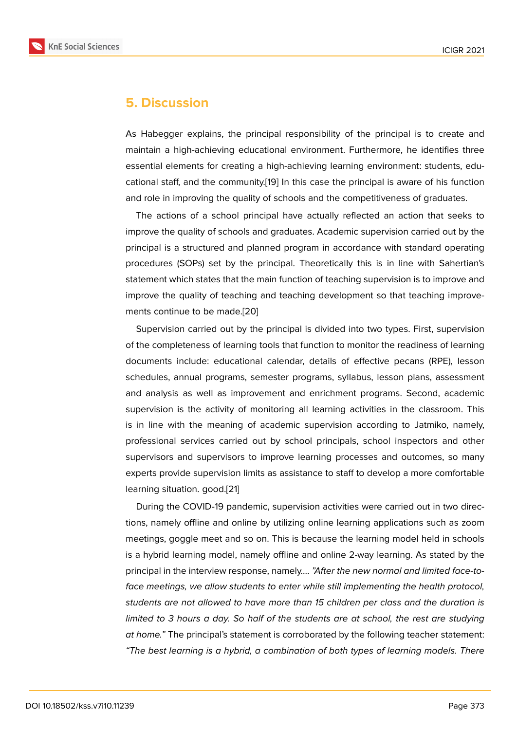## **5. Discussion**

As Habegger explains, the principal responsibility of the principal is to create and maintain a high-achieving educational environment. Furthermore, he identifies three essential elements for creating a high-achieving learning environment: students, educational staff, and the community.[19] In this case the principal is aware of his function and role in improving the quality of schools and the competitiveness of graduates.

The actions of a school principal have actually reflected an action that seeks to improve the quality of schools an[d gr](#page-11-4)aduates. Academic supervision carried out by the principal is a structured and planned program in accordance with standard operating procedures (SOPs) set by the principal. Theoretically this is in line with Sahertian's statement which states that the main function of teaching supervision is to improve and improve the quality of teaching and teaching development so that teaching improvements continue to be made.[20]

Supervision carried out by the principal is divided into two types. First, supervision of the completeness of learning tools that function to monitor the readiness of learning documents include: educational calendar, details of effective pecans (RPE), lesson schedules, annual programs, semester programs, syllabus, lesson plans, assessment and analysis as well as improvement and enrichment programs. Second, academic supervision is the activity of monitoring all learning activities in the classroom. This is in line with the meaning of academic supervision according to Jatmiko, namely, professional services carried out by school principals, school inspectors and other supervisors and supervisors to improve learning processes and outcomes, so many experts provide supervision limits as assistance to staff to develop a more comfortable learning situation. good.[21]

During the COVID-19 pandemic, supervision activities were carried out in two directions, namely offline and online by utilizing online learning applications such as zoom meetings, goggle meet and so on. This is because the learning model held in schools is a hybrid learning model, namely offline and online 2-way learning. As stated by the principal in the interview response, namely…. *"After the new normal and limited face-toface meetings, we allow students to enter while still implementing the health protocol, students are not allowed to have more than 15 children per class and the duration is limited to 3 hours a day. So half of the students are at school, the rest are studying at home."* The principal's statement is corroborated by the following teacher statement: *"The best learning is a hybrid, a combination of both types of learning models. There*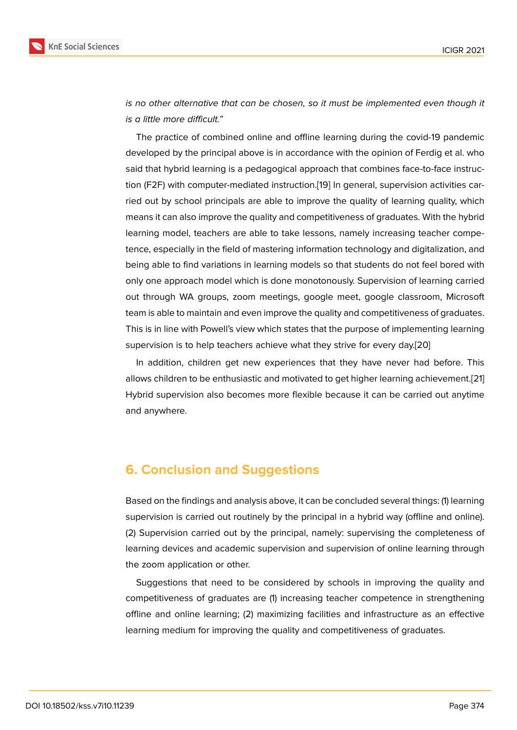*is no other alternative that can be chosen, so it must be implemented even though it is a little more difficult."*

The practice of combined online and offline learning during the covid-19 pandemic developed by the principal above is in accordance with the opinion of Ferdig et al. who said that hybrid learning is a pedagogical approach that combines face-to-face instruction (F2F) with computer-mediated instruction.[19] In general, supervision activities carried out by school principals are able to improve the quality of learning quality, which means it can also improve the quality and competitiveness of graduates. With the hybrid learning model, teachers are able to take less[on](#page-11-4)s, namely increasing teacher competence, especially in the field of mastering information technology and digitalization, and being able to find variations in learning models so that students do not feel bored with only one approach model which is done monotonously. Supervision of learning carried out through WA groups, zoom meetings, google meet, google classroom, Microsoft team is able to maintain and even improve the quality and competitiveness of graduates. This is in line with Powell's view which states that the purpose of implementing learning supervision is to help teachers achieve what they strive for every day.[20]

In addition, children get new experiences that they have never had before. This allows children to be enthusiastic and motivated to get higher learning achievement.[21] Hybrid supervision also becomes more flexible because it can be carried out anytime and anywhere.

# **6. Conclusion and Suggestions**

Based on the findings and analysis above, it can be concluded several things: (1) learning supervision is carried out routinely by the principal in a hybrid way (offline and online). (2) Supervision carried out by the principal, namely: supervising the completeness of learning devices and academic supervision and supervision of online learning through the zoom application or other.

Suggestions that need to be considered by schools in improving the quality and competitiveness of graduates are (1) increasing teacher competence in strengthening offline and online learning; (2) maximizing facilities and infrastructure as an effective learning medium for improving the quality and competitiveness of graduates.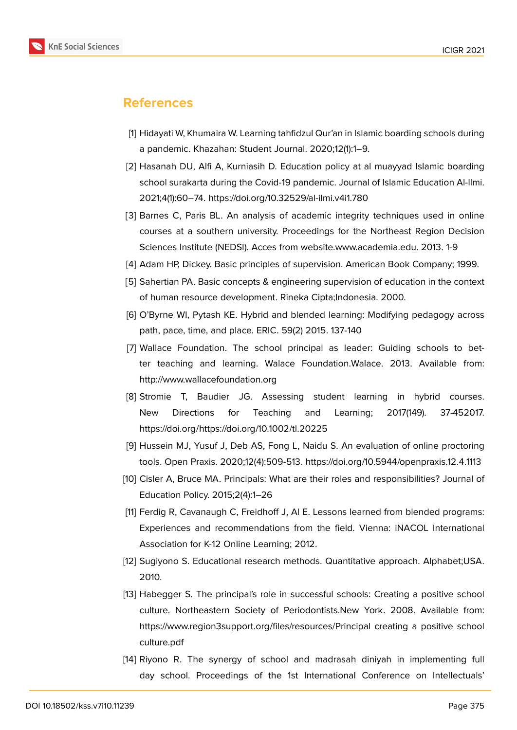

# **References**

- [1] Hidayati W, Khumaira W. Learning tahfidzul Qur'an in Islamic boarding schools during a pandemic. Khazahan: Student Journal. 2020;12(1):1–9.
- <span id="page-10-0"></span>[2] Hasanah DU, Alfi A, Kurniasih D. Education policy at al muayyad Islamic boarding school surakarta during the Covid-19 pandemic. Journal of Islamic Education Al-Ilmi. 2021;4(1):60–74. https://doi.org/10.32529/al-ilmi.v4i1.780
- <span id="page-10-1"></span>[3] Barnes C, Paris BL. An analysis of academic integrity techniques used in online courses at a southern university. Proceedings for the Northeast Region Decision Sciences Institute (NEDSI). Acces from website.www.academia.edu. 2013. 1-9
- <span id="page-10-3"></span><span id="page-10-2"></span>[4] Adam HP, Dickey. Basic principles of supervision. American Book Company; 1999.
- [5] Sahertian PA. Basic concepts & engineering supervision of education in the context of human resource development. Rineka Cipta;Indonesia. 2000.
- <span id="page-10-4"></span>[6] O'Byrne WI, Pytash KE. Hybrid and blended learning: Modifying pedagogy across path, pace, time, and place. ERIC. 59(2) 2015. 137-140
- [7] Wallace Foundation. The school principal as leader: Guiding schools to better teaching and learning. Walace Foundation.Walace. 2013. Available from: http://www.wallacefoundation.org
- <span id="page-10-5"></span>[8] Stromie T, Baudier JG. Assessing student learning in hybrid courses. New Directions for Teaching and Learning; 2017(149). 37-452017. https://doi.org/https://doi.org/10.1002/tl.20225
- <span id="page-10-6"></span>[9] Hussein MJ, Yusuf J, Deb AS, Fong L, Naidu S. An evaluation of online proctoring tools. Open Praxis. 2020;12(4):509-513. https://doi.org/10.5944/openpraxis.12.4.1113
- <span id="page-10-7"></span>[10] Cisler A, Bruce MA. Principals: What are their roles and responsibilities? Journal of Education Policy. 2015;2(4):1–26
- <span id="page-10-8"></span>[11] Ferdig R, Cavanaugh C, Freidhoff J, Al E. Lessons learned from blended programs: Experiences and recommendations from the field. Vienna: iNACOL International Association for K-12 Online Learning; 2012.
- <span id="page-10-9"></span>[12] Sugiyono S. Educational research methods. Quantitative approach. Alphabet;USA. 2010.
- <span id="page-10-10"></span>[13] Habegger S. The principal's role in successful schools: Creating a positive school culture. Northeastern Society of Periodontists.New York. 2008. Available from: https://www.region3support.org/files/resources/Principal creating a positive school culture.pdf
- [14] Riyono R. The synergy of school and madrasah diniyah in implementing full day school. Proceedings of the 1st International Conference on Intellectuals'